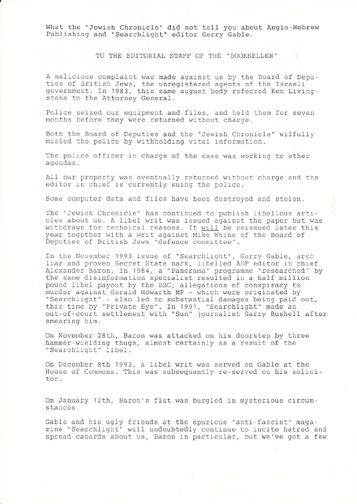What the "Jewish Chronicle" did not tell you about Anglo-Hebrew Pub1ishing and "Searchliqht" editor Gerry GabIe.

TO THE EDITORIAL STAFF OF THE "BOOKSELLER'

A malicious complaint was made against us by the Board of Deputies of British Jews, the unregistered agents of the Israel government. In 1983, this same august body referred Ken Livingstone to the Attorney General.

Police seized our equipment and files, and held them for seven months before they were returned without charge.

Both the Board of Deputies and the "Jewish Chronicle" wilfully misled the police by withholding vital information.

The police officer in charge of the case was working to other agendas.

AII our property was eventually returned without charge and the editor in chief is currently suing the police.

Some computer data and files have been destroyed and stolen.

The "Jewish Chronicle" has continued to publish libellous articles about us. A libel writ was issued against the paper but was withdrawn for technical reasons. It will be reissued later this year together with a writ against Mike Whine of the Board of Deputies of British Jews "defence committee".

In the November 1993 issue of "SearchIlght", Gerry Gable, arch liar and proven Secret State nark, libelled AHP editor in chief Alexander Baron. In 1984, a "Panorama" programme "researched" by the same disinformation specialist resulted in a half million pound libel payout by the BBC; allegations of conspiracy to murder against Gerald Howarth MP - which were originated by "Searchlight" - also led to substantial damages being paid out, this time by "Private Eye". In 1991, "Searchlight" made an out-of-court settlement with "Sun" journalist Garry Bushell after smearing him.

On November 28th, Baron was attacked on his doorstep by three hammer-wielding thugs, almost certainly as a result of the "Searchlight" libel.

On December 8th 1993, a libel writ was served on Gable at the House of Commons. This was subsequently re-served on his solicitor.

On January 12Lh, Baron's flat was burgled in mysterious circumstances.

Gable and his ugly frrends at the spurious "anti-fascist" magazine "Searchlight" will undoubtedly continue to incite hatred and spread canards about us, Baron in particular, but we've got a few